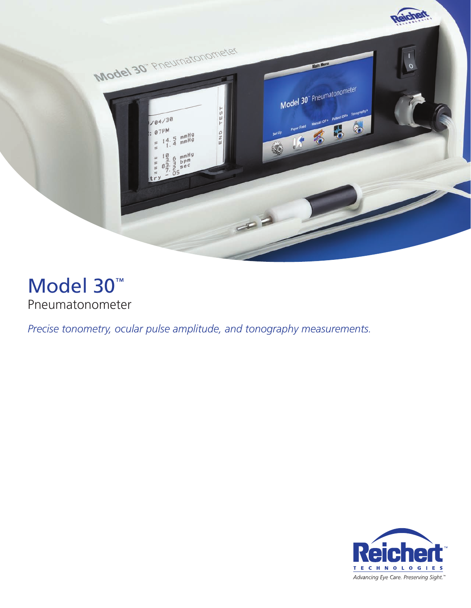

# Model 30™ Pneumatonometer

*Precise tonometry, ocular pulse amplitude, and tonography measurements.*